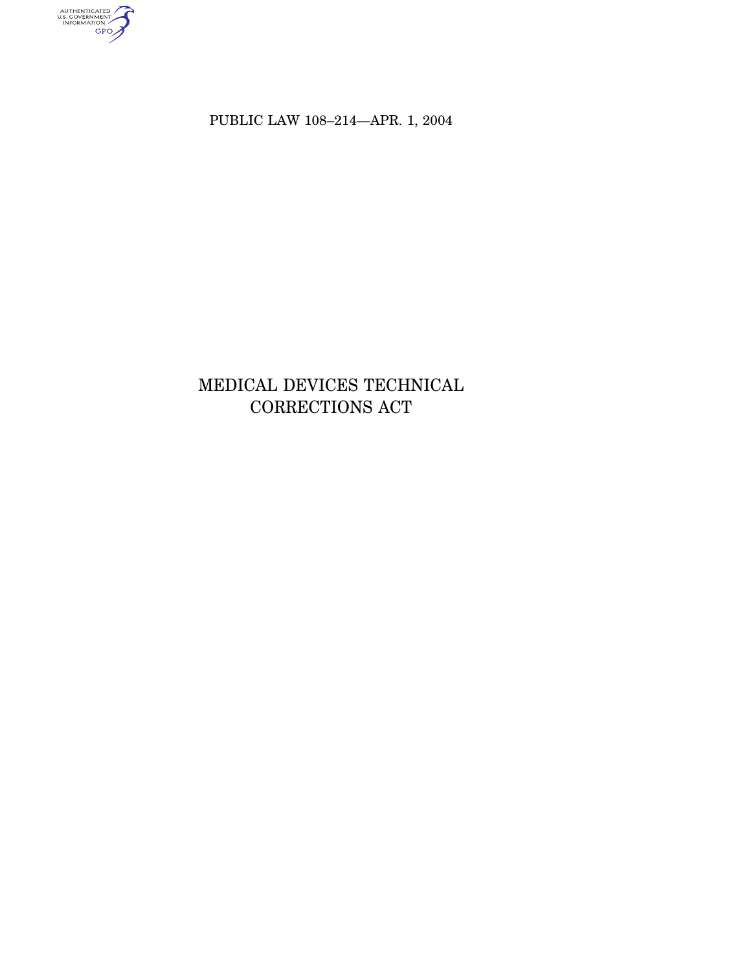AUTHENTICATED

PUBLIC LAW 108–214—APR. 1, 2004

# MEDICAL DEVICES TECHNICAL CORRECTIONS ACT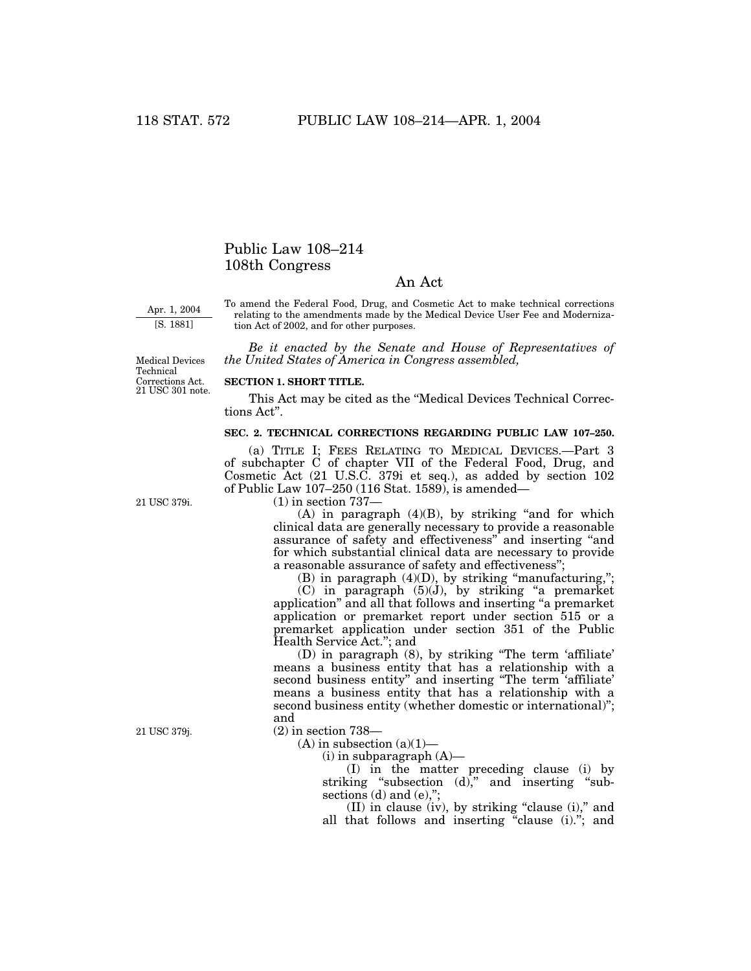## Public Law 108–214 108th Congress

### An Act

Apr. 1, 2004

To amend the Federal Food, Drug, and Cosmetic Act to make technical corrections relating to the amendments made by the Medical Device User Fee and Modernization Act of 2002, and for other purposes.

[S. 1881]

*Be it enacted by the Senate and House of Representatives of the United States of America in Congress assembled,*

21 USC 301 note. Corrections Act. Medical Devices Technical

#### **SECTION 1. SHORT TITLE.**

This Act may be cited as the ''Medical Devices Technical Corrections Act''.

#### **SEC. 2. TECHNICAL CORRECTIONS REGARDING PUBLIC LAW 107–250.**

(a) TITLE I; FEES RELATING TO MEDICAL DEVICES.—Part 3 of subchapter C of chapter VII of the Federal Food, Drug, and Cosmetic Act (21 U.S.C. 379i et seq.), as added by section 102 of Public Law 107–250 (116 Stat. 1589), is amended—

21 USC 379i.

(1) in section 737—

 $(A)$  in paragraph  $(4)(B)$ , by striking "and for which clinical data are generally necessary to provide a reasonable assurance of safety and effectiveness'' and inserting ''and for which substantial clinical data are necessary to provide a reasonable assurance of safety and effectiveness'';

(B) in paragraph  $(4)(D)$ , by striking "manufacturing,";

(C) in paragraph (5)(J), by striking ''a premarket application'' and all that follows and inserting ''a premarket application or premarket report under section 515 or a premarket application under section 351 of the Public Health Service Act.''; and

(D) in paragraph (8), by striking ''The term 'affiliate' means a business entity that has a relationship with a second business entity'' and inserting ''The term 'affiliate' means a business entity that has a relationship with a second business entity (whether domestic or international)''; and

(2) in section 738—

 $(A)$  in subsection  $(a)(1)$ —

 $(i)$  in subparagraph  $(A)$ —

(I) in the matter preceding clause (i) by striking "subsection (d)," and inserting "subsections (d) and (e),";

(II) in clause (iv), by striking ''clause (i),'' and all that follows and inserting "clause (i)."; and

21 USC 379j.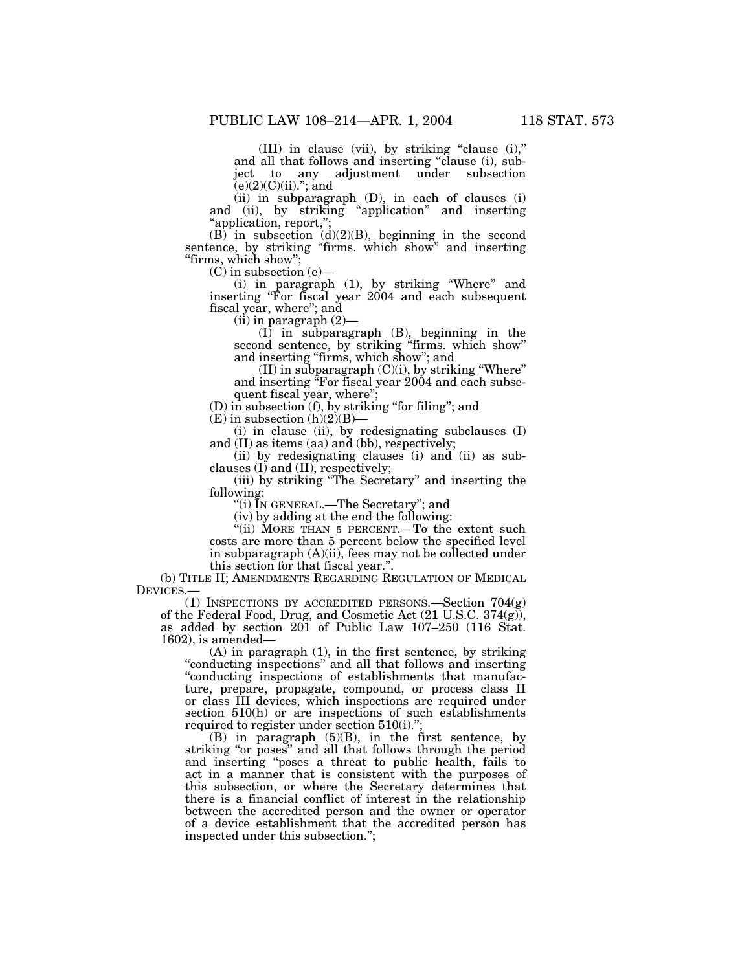(III) in clause (vii), by striking ''clause (i),'' and all that follows and inserting ''clause (i), subject to any adjustment under subsection  $(e)(2)(C)(ii)$ ."; and

(ii) in subparagraph (D), in each of clauses (i) and (ii), by striking ''application'' and inserting ''application, report,'';

 $(B)$  in subsection  $(d)(2)(B)$ , beginning in the second sentence, by striking "firms. which show" and inserting ''firms, which show'';

 $(C)$  in subsection  $(e)$ 

(i) in paragraph (1), by striking ''Where'' and inserting ''For fiscal year 2004 and each subsequent fiscal year, where''; and

 $(ii)$  in paragraph  $(2)$ —

(I) in subparagraph (B), beginning in the second sentence, by striking ''firms. which show'' and inserting "firms, which show"; and

 $(II)$  in subparagraph  $(C)(i)$ , by striking "Where" and inserting ''For fiscal year 2004 and each subsequent fiscal year, where'';

(D) in subsection (f), by striking ''for filing''; and

 $(E)$  in subsection  $(h)(2)(B)$ —

(i) in clause (ii), by redesignating subclauses (I) and (II) as items (aa) and (bb), respectively;

(ii) by redesignating clauses (i) and (ii) as subclauses (I) and (II), respectively;

(iii) by striking ''The Secretary'' and inserting the following:

''(i) IN GENERAL.—The Secretary''; and

(iv) by adding at the end the following:

"(ii) MORE THAN 5 PERCENT.—To the extent such costs are more than 5 percent below the specified level in subparagraph (A)(ii), fees may not be collected under this section for that fiscal year.''.

(b) TITLE II; AMENDMENTS REGARDING REGULATION OF MEDICAL DEVICES.—

(1) INSPECTIONS BY ACCREDITED PERSONS.—Section 704(g) of the Federal Food, Drug, and Cosmetic Act  $(21 \text{ U.S.C. } 374(g)),$ as added by section 201 of Public Law 107–250 (116 Stat. 1602), is amended—

(A) in paragraph (1), in the first sentence, by striking "conducting inspections" and all that follows and inserting ''conducting inspections of establishments that manufacture, prepare, propagate, compound, or process class II or class III devices, which inspections are required under section 510(h) or are inspections of such establishments required to register under section 510(i).";

(B) in paragraph (5)(B), in the first sentence, by striking "or poses" and all that follows through the period and inserting ''poses a threat to public health, fails to act in a manner that is consistent with the purposes of this subsection, or where the Secretary determines that there is a financial conflict of interest in the relationship between the accredited person and the owner or operator of a device establishment that the accredited person has inspected under this subsection.'';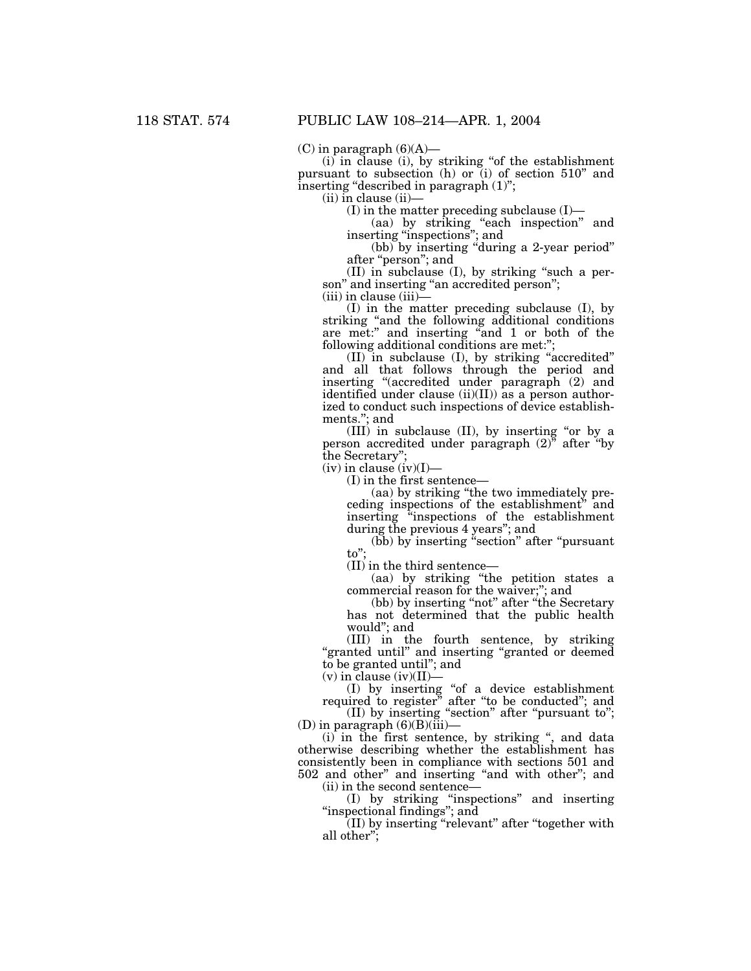$(C)$  in paragraph  $(6)(A)$ —

(i) in clause (i), by striking ''of the establishment pursuant to subsection (h) or (i) of section 510'' and inserting "described in paragraph (1)";

 $(ii)$  in clause  $(ii)$ —

(I) in the matter preceding subclause  $(I)$ —

(aa) by striking ''each inspection'' and inserting ''inspections''; and

(bb) by inserting ''during a 2-year period'' after ''person''; and

 $(II)$  in subclause  $(I)$ , by striking "such a person" and inserting "an accredited person";

(iii) in clause (iii)—

(I) in the matter preceding subclause (I), by striking ''and the following additional conditions are met:" and inserting "and 1 or both of the following additional conditions are met:";

(II) in subclause (I), by striking ''accredited'' and all that follows through the period and inserting ''(accredited under paragraph (2) and identified under clause (ii)(II)) as a person authorized to conduct such inspections of device establishments.''; and

(III) in subclause (II), by inserting ''or by a person accredited under paragraph  $(2)^{n}$  after "by the Secretary"

 $(iv)$  in clause  $(iv)(I)$ —

(I) in the first sentence—

(aa) by striking ''the two immediately preceding inspections of the establishment'' and inserting ''inspections of the establishment during the previous 4 years''; and

(bb) by inserting ''section'' after ''pursuant to'';

(II) in the third sentence—

(aa) by striking ''the petition states a commercial reason for the waiver;''; and

(bb) by inserting ''not'' after ''the Secretary has not determined that the public health would''; and

(III) in the fourth sentence, by striking ''granted until'' and inserting ''granted or deemed to be granted until''; and

 $(v)$  in clause (iv)(II)-

(I) by inserting ''of a device establishment required to register'' after ''to be conducted''; and (II) by inserting ''section'' after ''pursuant to'';

 $(D)$  in paragraph  $(6)(B)(iii)$ —

(i) in the first sentence, by striking '', and data otherwise describing whether the establishment has consistently been in compliance with sections 501 and 502 and other'' and inserting ''and with other''; and (ii) in the second sentence—

(I) by striking ''inspections'' and inserting ''inspectional findings''; and

(II) by inserting ''relevant'' after ''together with all other'';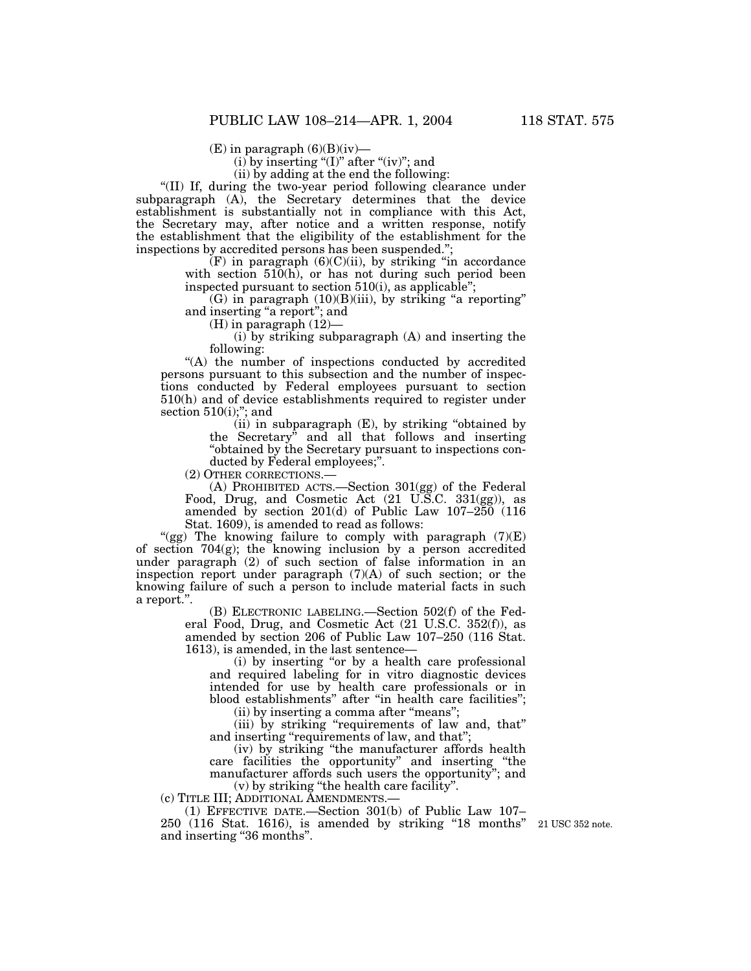$(E)$  in paragraph  $(6)(B)(iv)$ —

(i) by inserting "(I)" after "(iv)"; and

(ii) by adding at the end the following:

''(II) If, during the two-year period following clearance under subparagraph (A), the Secretary determines that the device establishment is substantially not in compliance with this Act, the Secretary may, after notice and a written response, notify the establishment that the eligibility of the establishment for the inspections by accredited persons has been suspended.'';

> $(F)$  in paragraph  $(6)(C)(ii)$ , by striking "in accordance with section 510(h), or has not during such period been inspected pursuant to section  $510(i)$ , as applicable";

> $(G)$  in paragraph  $(10)(B)(iii)$ , by striking "a reporting" and inserting "a report"; and

(H) in paragraph (12)—

(i) by striking subparagraph (A) and inserting the following:

"(A) the number of inspections conducted by accredited persons pursuant to this subsection and the number of inspections conducted by Federal employees pursuant to section 510(h) and of device establishments required to register under section 510(i);"; and

(ii) in subparagraph (E), by striking ''obtained by the Secretary'' and all that follows and inserting ''obtained by the Secretary pursuant to inspections conducted by Federal employees;''.

(2) OTHER CORRECTIONS.—

(A) PROHIBITED ACTS.—Section 301(gg) of the Federal Food, Drug, and Cosmetic Act (21 U.S.C. 331(gg)), as amended by section 201(d) of Public Law 107–250 (116 Stat. 1609), is amended to read as follows:

"(gg) The knowing failure to comply with paragraph  $(7)(E)$ of section 704(g); the knowing inclusion by a person accredited under paragraph (2) of such section of false information in an inspection report under paragraph  $(7)(A)$  of such section; or the knowing failure of such a person to include material facts in such a report.''.

> (B) ELECTRONIC LABELING.—Section 502(f) of the Federal Food, Drug, and Cosmetic Act (21 U.S.C. 352(f)), as amended by section 206 of Public Law 107–250 (116 Stat. 1613), is amended, in the last sentence—

(i) by inserting ''or by a health care professional and required labeling for in vitro diagnostic devices intended for use by health care professionals or in blood establishments'' after ''in health care facilities'';

(ii) by inserting a comma after ''means'';

(iii) by striking ''requirements of law and, that'' and inserting "requirements of law, and that";

(iv) by striking ''the manufacturer affords health care facilities the opportunity'' and inserting ''the manufacturer affords such users the opportunity''; and (v) by striking ''the health care facility''.

(c) TITLE III; ADDITIONAL AMENDMENTS.—

(1) EFFECTIVE DATE.—Section 301(b) of Public Law 107–

250 (116 Stat. 1616), is amended by striking "18 months" 21 USC 352 note. and inserting ''36 months''.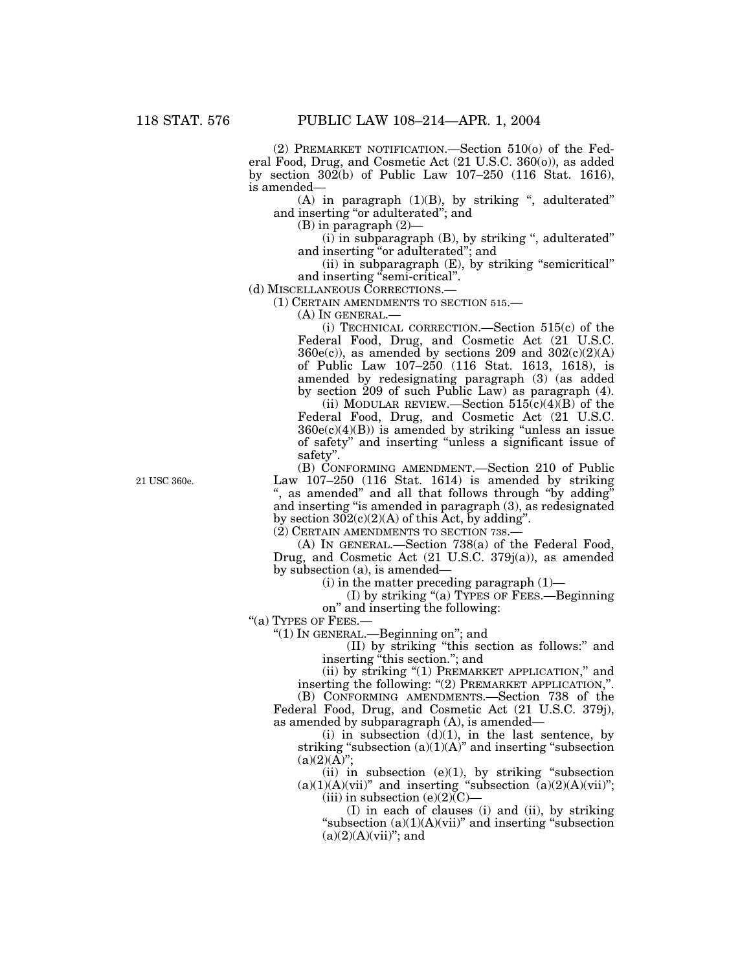(2) PREMARKET NOTIFICATION.—Section 510(o) of the Federal Food, Drug, and Cosmetic Act (21 U.S.C. 360(o)), as added by section 302(b) of Public Law 107–250 (116 Stat. 1616), is amended—

(A) in paragraph (1)(B), by striking '', adulterated'' and inserting ''or adulterated''; and

(B) in paragraph (2)—

 $(i)$  in subparagraph  $(B)$ , by striking ", adulterated" and inserting ''or adulterated''; and

(ii) in subparagraph (E), by striking ''semicritical'' and inserting "semi-critical".

(d) MISCELLANEOUS CORRECTIONS.—

(1) CERTAIN AMENDMENTS TO SECTION 515.—

(A) IN GENERAL.—

(i) TECHNICAL CORRECTION.—Section 515(c) of the Federal Food, Drug, and Cosmetic Act (21 U.S.C.  $360e(c)$ , as amended by sections 209 and  $302(c)(2)(A)$ of Public Law 107–250 (116 Stat. 1613, 1618), is amended by redesignating paragraph (3) (as added by section 209 of such Public Law) as paragraph (4).

(ii) MODULAR REVIEW.—Section  $515(c)(4)(B)$  of the Federal Food, Drug, and Cosmetic Act (21 U.S.C.  $360e(c)(4)(B)$  is amended by striking "unless an issue of safety'' and inserting ''unless a significant issue of safety''.

(B) CONFORMING AMENDMENT.—Section 210 of Public Law  $107-250$  (116 Stat. 1614) is amended by striking ", as amended" and all that follows through "by adding" and inserting ''is amended in paragraph (3), as redesignated by section  $302(c)(2)(A)$  of this Act, by adding".

(2) CERTAIN AMENDMENTS TO SECTION 738.—

(A) IN GENERAL.—Section 738(a) of the Federal Food, Drug, and Cosmetic Act (21 U.S.C. 379j(a)), as amended by subsection (a), is amended—

 $(i)$  in the matter preceding paragraph  $(1)$ —

(I) by striking ''(a) TYPES OF FEES.—Beginning on'' and inserting the following:

''(a) TYPES OF FEES.—

''(1) IN GENERAL.—Beginning on''; and

(II) by striking ''this section as follows:'' and inserting "this section."; and

(ii) by striking "(1) PREMARKET APPLICATION," and inserting the following: ''(2) PREMARKET APPLICATION,''.

(B) CONFORMING AMENDMENTS.—Section 738 of the

Federal Food, Drug, and Cosmetic Act (21 U.S.C. 379j), as amended by subparagraph (A), is amended—

(i) in subsection  $(d)(1)$ , in the last sentence, by striking "subsection  $(a)(1)(A)$ " and inserting "subsection  $(a)(2)(A)$ ";

(ii) in subsection  $(e)(1)$ , by striking "subsection  $(a)(1)(A)(vii)$ " and inserting "subsection  $(a)(2)(A)(vii)$ "; (iii) in subsection  $(e)(2)(C)$ —

(I) in each of clauses (i) and (ii), by striking "subsection  $(a)(1)(A)(vii)$ " and inserting "subsection"  $(a)(2)(A)(vii)$ "; and

21 USC 360e.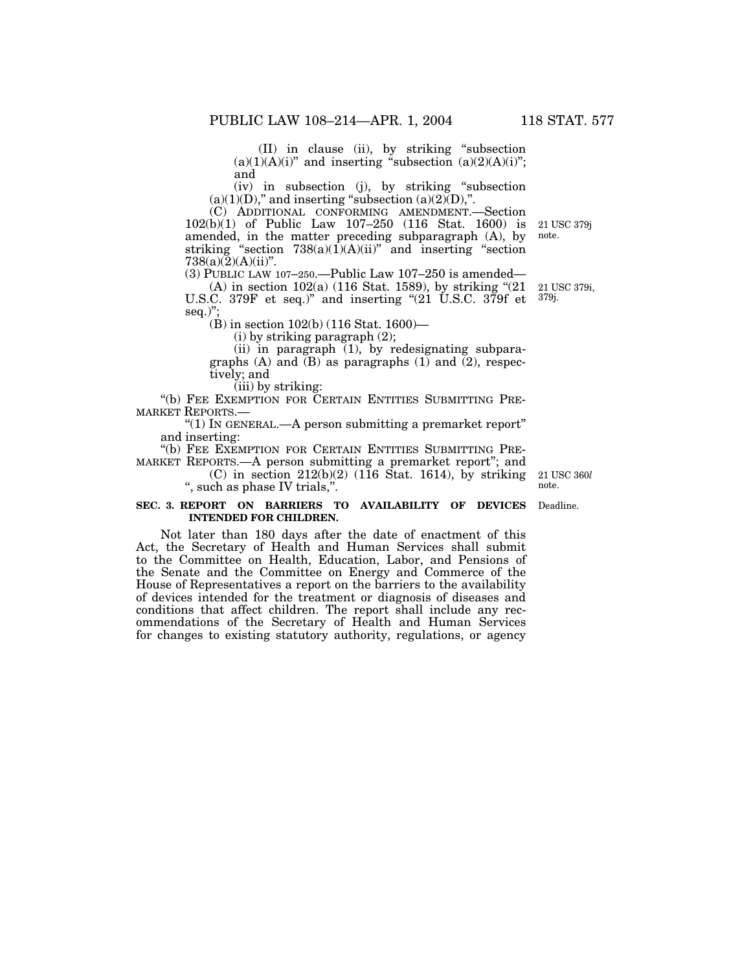(II) in clause (ii), by striking ''subsection  $(a)(1)(A)(i)$ " and inserting "subsection  $(a)(2)(A)(i)$ "; and

(iv) in subsection (j), by striking ''subsection  $(a)(1)(D)$ ," and inserting "subsection  $(a)(2)(D)$ ,".

(C) ADDITIONAL CONFORMING AMENDMENT.—Section 102(b)(1) of Public Law 107–250 (116 Stat. 1600) is amended, in the matter preceding subparagraph (A), by striking "section  $738(a)(1)(A)(ii)$ " and inserting "section  $738(a)(2)(A)(ii)$ ". 21 USC 379j

(3) PUBLIC LAW 107–250.—Public Law 107–250 is amended—

(A) in section 102(a) (116 Stat. 1589), by striking ''(21 21 USC 379i, U.S.C. 379F et seq.)" and inserting "(21 U.S.C. 379f et <sup>379j.</sup> seq.)":

(B) in section 102(b) (116 Stat. 1600)—

(i) by striking paragraph (2);

(ii) in paragraph (1), by redesignating subparagraphs (A) and (B) as paragraphs (1) and  $(2)$ , respectively; and

(iii) by striking:

"(b) FEE EXEMPTION FOR CERTAIN ENTITIES SUBMITTING PRE-MARKET REPORTS.—

''(1) IN GENERAL.—A person submitting a premarket report'' and inserting:

"(b) FEE EXEMPTION FOR CERTAIN ENTITIES SUBMITTING PRE-

MARKET REPORTS.—A person submitting a premarket report''; and

(C) in section  $212(b)(2)$  (116 Stat. 1614), by striking '', such as phase IV trials,''.

#### **SEC. 3. REPORT ON BARRIERS TO AVAILABILITY OF DEVICES** Deadline. **INTENDED FOR CHILDREN.**

Not later than 180 days after the date of enactment of this Act, the Secretary of Health and Human Services shall submit to the Committee on Health, Education, Labor, and Pensions of the Senate and the Committee on Energy and Commerce of the House of Representatives a report on the barriers to the availability of devices intended for the treatment or diagnosis of diseases and conditions that affect children. The report shall include any recommendations of the Secretary of Health and Human Services for changes to existing statutory authority, regulations, or agency

21 USC 360*l* note.

note.